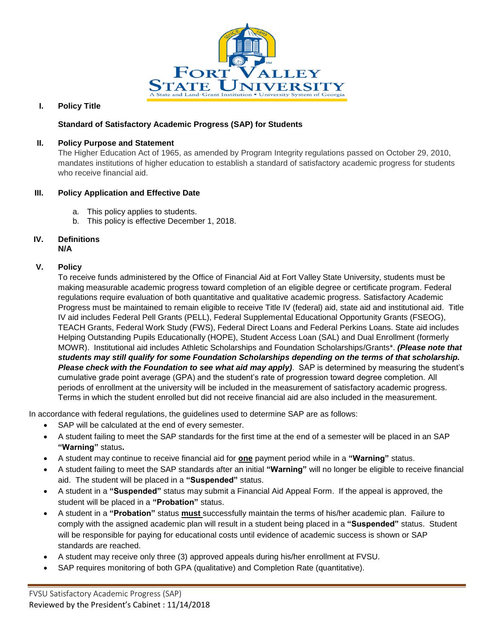

# **I. Policy Title**

## **Standard of Satisfactory Academic Progress (SAP) for Students**

#### **II. Policy Purpose and Statement**

The Higher Education Act of 1965, as amended by Program Integrity regulations passed on October 29, 2010, mandates institutions of higher education to establish a standard of satisfactory academic progress for students who receive financial aid.

## **III. Policy Application and Effective Date**

- a. This policy applies to students.
- b. This policy is effective December 1, 2018.

#### **IV. Definitions N/A**

## **V. Policy**

To receive funds administered by the Office of Financial Aid at Fort Valley State University, students must be making measurable academic progress toward completion of an eligible degree or certificate program. Federal regulations require evaluation of both quantitative and qualitative academic progress. Satisfactory Academic Progress must be maintained to remain eligible to receive Title IV (federal) aid, state aid and institutional aid. Title IV aid includes Federal Pell Grants (PELL), Federal Supplemental Educational Opportunity Grants (FSEOG), TEACH Grants, Federal Work Study (FWS), Federal Direct Loans and Federal Perkins Loans. State aid includes Helping Outstanding Pupils Educationally (HOPE), Student Access Loan (SAL) and Dual Enrollment (formerly MOWR). Institutional aid includes Athletic Scholarships and Foundation Scholarships/Grants\*. *(Please note that students may still qualify for some Foundation Scholarships depending on the terms of that scholarship. Please check with the Foundation to see what aid may apply)*. SAP is determined by measuring the student's cumulative grade point average (GPA) and the student's rate of progression toward degree completion. All periods of enrollment at the university will be included in the measurement of satisfactory academic progress. Terms in which the student enrolled but did not receive financial aid are also included in the measurement.

In accordance with federal regulations, the guidelines used to determine SAP are as follows:

- SAP will be calculated at the end of every semester.
- A student failing to meet the SAP standards for the first time at the end of a semester will be placed in an SAP **"Warning"** status**.**
- A student may continue to receive financial aid for **one** payment period while in a **"Warning"** status.
- A student failing to meet the SAP standards after an initial **"Warning"** will no longer be eligible to receive financial aid. The student will be placed in a **"Suspended"** status.
- A student in a **"Suspended"** status may submit a Financial Aid Appeal Form. If the appeal is approved, the student will be placed in a **"Probation"** status.
- A student in a **"Probation"** status **must** successfully maintain the terms of his/her academic plan. Failure to comply with the assigned academic plan will result in a student being placed in a **"Suspended"** status. Student will be responsible for paying for educational costs until evidence of academic success is shown or SAP standards are reached.
- A student may receive only three (3) approved appeals during his/her enrollment at FVSU.
- SAP requires monitoring of both GPA (qualitative) and Completion Rate (quantitative).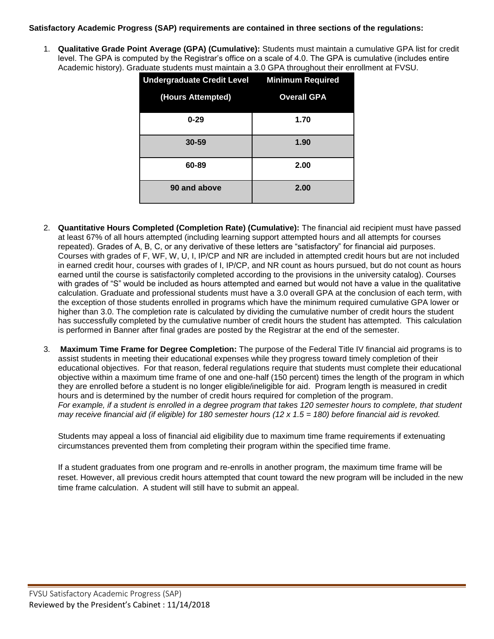#### **Satisfactory Academic Progress (SAP) requirements are contained in three sections of the regulations:**

1. **Qualitative Grade Point Average (GPA) (Cumulative):** Students must maintain a cumulative GPA list for credit level. The GPA is computed by the Registrar's office on a scale of 4.0. The GPA is cumulative (includes entire Academic history). Graduate students must maintain a 3.0 GPA throughout their enrollment at FVSU.

| Undergraduate Credit Level Minimum Required |                    |
|---------------------------------------------|--------------------|
| (Hours Attempted)                           | <b>Overall GPA</b> |
| $0 - 29$                                    | 1.70               |
| $30 - 59$                                   | 1.90               |
| 60-89                                       | 2.00               |
| 90 and above                                | 2.00               |

- 2. **Quantitative Hours Completed (Completion Rate) (Cumulative):** The financial aid recipient must have passed at least 67% of all hours attempted (including learning support attempted hours and all attempts for courses repeated). Grades of A, B, C, or any derivative of these letters are "satisfactory" for financial aid purposes. Courses with grades of F, WF, W, U, I, IP/CP and NR are included in attempted credit hours but are not included in earned credit hour, courses with grades of I, IP/CP, and NR count as hours pursued, but do not count as hours earned until the course is satisfactorily completed according to the provisions in the university catalog). Courses with grades of "S" would be included as hours attempted and earned but would not have a value in the qualitative calculation. Graduate and professional students must have a 3.0 overall GPA at the conclusion of each term, with the exception of those students enrolled in programs which have the minimum required cumulative GPA lower or higher than 3.0. The completion rate is calculated by dividing the cumulative number of credit hours the student has successfully completed by the cumulative number of credit hours the student has attempted. This calculation is performed in Banner after final grades are posted by the Registrar at the end of the semester.
- 3. **Maximum Time Frame for Degree Completion:** The purpose of the Federal Title IV financial aid programs is to assist students in meeting their educational expenses while they progress toward timely completion of their educational objectives. For that reason, federal regulations require that students must complete their educational objective within a maximum time frame of one and one-half (150 percent) times the length of the program in which they are enrolled before a student is no longer eligible/ineligible for aid. Program length is measured in credit hours and is determined by the number of credit hours required for completion of the program. For example, if a student is enrolled in a degree program that takes 120 semester hours to complete, that student *may receive financial aid (if eligible) for 180 semester hours (12 x 1.5 = 180) before financial aid is revoked.*

Students may appeal a loss of financial aid eligibility due to maximum time frame requirements if extenuating circumstances prevented them from completing their program within the specified time frame.

If a student graduates from one program and re-enrolls in another program, the maximum time frame will be reset. However, all previous credit hours attempted that count toward the new program will be included in the new time frame calculation. A student will still have to submit an appeal.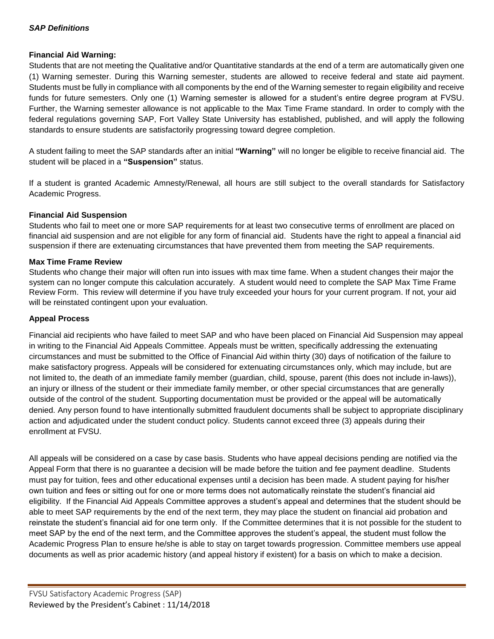## **Financial Aid Warning:**

Students that are not meeting the Qualitative and/or Quantitative standards at the end of a term are automatically given one (1) Warning semester. During this Warning semester, students are allowed to receive federal and state aid payment. Students must be fully in compliance with all components by the end of the Warning semester to regain eligibility and receive funds for future semesters. Only one (1) Warning semester is allowed for a student's entire degree program at FVSU. Further, the Warning semester allowance is not applicable to the Max Time Frame standard. In order to comply with the federal regulations governing SAP, Fort Valley State University has established, published, and will apply the following standards to ensure students are satisfactorily progressing toward degree completion.

A student failing to meet the SAP standards after an initial **"Warning"** will no longer be eligible to receive financial aid. The student will be placed in a **"Suspension"** status.

If a student is granted Academic Amnesty/Renewal, all hours are still subject to the overall standards for Satisfactory Academic Progress.

## **Financial Aid Suspension**

Students who fail to meet one or more SAP requirements for at least two consecutive terms of enrollment are placed on financial aid suspension and are not eligible for any form of financial aid. Students have the right to appeal a financial aid suspension if there are extenuating circumstances that have prevented them from meeting the SAP requirements.

## **Max Time Frame Review**

Students who change their major will often run into issues with max time fame. When a student changes their major the system can no longer compute this calculation accurately. A student would need to complete the SAP Max Time Frame Review Form. This review will determine if you have truly exceeded your hours for your current program. If not, your aid will be reinstated contingent upon your evaluation.

#### **Appeal Process**

Financial aid recipients who have failed to meet SAP and who have been placed on Financial Aid Suspension may appeal in writing to the Financial Aid Appeals Committee. Appeals must be written, specifically addressing the extenuating circumstances and must be submitted to the Office of Financial Aid within thirty (30) days of notification of the failure to make satisfactory progress. Appeals will be considered for extenuating circumstances only, which may include, but are not limited to, the death of an immediate family member (guardian, child, spouse, parent (this does not include in-laws)), an injury or illness of the student or their immediate family member, or other special circumstances that are generally outside of the control of the student. Supporting documentation must be provided or the appeal will be automatically denied. Any person found to have intentionally submitted fraudulent documents shall be subject to appropriate disciplinary action and adjudicated under the student conduct policy. Students cannot exceed three (3) appeals during their enrollment at FVSU.

All appeals will be considered on a case by case basis. Students who have appeal decisions pending are notified via the Appeal Form that there is no guarantee a decision will be made before the tuition and fee payment deadline. Students must pay for tuition, fees and other educational expenses until a decision has been made. A student paying for his/her own tuition and fees or sitting out for one or more terms does not automatically reinstate the student's financial aid eligibility. If the Financial Aid Appeals Committee approves a student's appeal and determines that the student should be able to meet SAP requirements by the end of the next term, they may place the student on financial aid probation and reinstate the student's financial aid for one term only. If the Committee determines that it is not possible for the student to meet SAP by the end of the next term, and the Committee approves the student's appeal, the student must follow the Academic Progress Plan to ensure he/she is able to stay on target towards progression. Committee members use appeal documents as well as prior academic history (and appeal history if existent) for a basis on which to make a decision.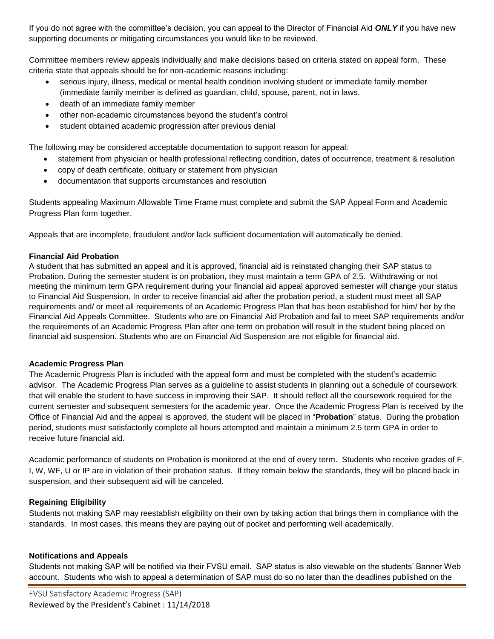If you do not agree with the committee's decision, you can appeal to the Director of Financial Aid *ONLY* if you have new supporting documents or mitigating circumstances you would like to be reviewed.

Committee members review appeals individually and make decisions based on criteria stated on appeal form. These criteria state that appeals should be for non-academic reasons including:

- serious injury, illness, medical or mental health condition involving student or immediate family member (immediate family member is defined as guardian, child, spouse, parent, not in laws.
- death of an immediate family member
- other non-academic circumstances beyond the student's control
- student obtained academic progression after previous denial

The following may be considered acceptable documentation to support reason for appeal:

- statement from physician or health professional reflecting condition, dates of occurrence, treatment & resolution
- copy of death certificate, obituary or statement from physician
- documentation that supports circumstances and resolution

Students appealing Maximum Allowable Time Frame must complete and submit the SAP Appeal Form and Academic Progress Plan form together.

Appeals that are incomplete, fraudulent and/or lack sufficient documentation will automatically be denied.

#### **Financial Aid Probation**

A student that has submitted an appeal and it is approved, financial aid is reinstated changing their SAP status to Probation. During the semester student is on probation, they must maintain a term GPA of 2.5. Withdrawing or not meeting the minimum term GPA requirement during your financial aid appeal approved semester will change your status to Financial Aid Suspension. In order to receive financial aid after the probation period, a student must meet all SAP requirements and/ or meet all requirements of an Academic Progress Plan that has been established for him/ her by the Financial Aid Appeals Committee. Students who are on Financial Aid Probation and fail to meet SAP requirements and/or the requirements of an Academic Progress Plan after one term on probation will result in the student being placed on financial aid suspension. Students who are on Financial Aid Suspension are not eligible for financial aid.

#### **Academic Progress Plan**

The Academic Progress Plan is included with the appeal form and must be completed with the student's academic advisor. The Academic Progress Plan serves as a guideline to assist students in planning out a schedule of coursework that will enable the student to have success in improving their SAP. It should reflect all the coursework required for the current semester and subsequent semesters for the academic year. Once the Academic Progress Plan is received by the Office of Financial Aid and the appeal is approved, the student will be placed in "**Probation**" status. During the probation period, students must satisfactorily complete all hours attempted and maintain a minimum 2.5 term GPA in order to receive future financial aid.

Academic performance of students on Probation is monitored at the end of every term. Students who receive grades of F, I, W, WF, U or IP are in violation of their probation status. If they remain below the standards, they will be placed back in suspension, and their subsequent aid will be canceled.

## **Regaining Eligibility**

Students not making SAP may reestablish eligibility on their own by taking action that brings them in compliance with the standards. In most cases, this means they are paying out of pocket and performing well academically.

#### **Notifications and Appeals**

Students not making SAP will be notified via their FVSU email. SAP status is also viewable on the students' Banner Web account. Students who wish to appeal a determination of SAP must do so no later than the deadlines published on the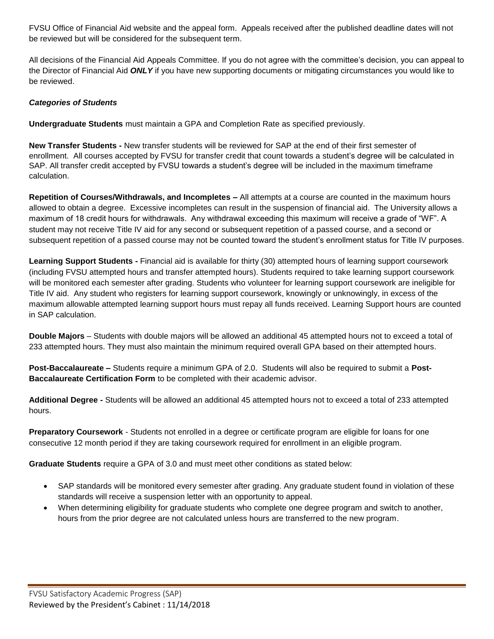FVSU Office of Financial Aid website and the appeal form. Appeals received after the published deadline dates will not be reviewed but will be considered for the subsequent term.

All decisions of the Financial Aid Appeals Committee. If you do not agree with the committee's decision, you can appeal to the Director of Financial Aid *ONLY* if you have new supporting documents or mitigating circumstances you would like to be reviewed.

## *Categories of Students*

**Undergraduate Students** must maintain a GPA and Completion Rate as specified previously.

**New Transfer Students -** New transfer students will be reviewed for SAP at the end of their first semester of enrollment. All courses accepted by FVSU for transfer credit that count towards a student's degree will be calculated in SAP. All transfer credit accepted by FVSU towards a student's degree will be included in the maximum timeframe calculation.

**Repetition of Courses/Withdrawals, and Incompletes –** All attempts at a course are counted in the maximum hours allowed to obtain a degree. Excessive incompletes can result in the suspension of financial aid. The University allows a maximum of 18 credit hours for withdrawals. Any withdrawal exceeding this maximum will receive a grade of "WF". A student may not receive Title IV aid for any second or subsequent repetition of a passed course, and a second or subsequent repetition of a passed course may not be counted toward the student's enrollment status for Title IV purposes.

**Learning Support Students -** Financial aid is available for thirty (30) attempted hours of learning support coursework (including FVSU attempted hours and transfer attempted hours). Students required to take learning support coursework will be monitored each semester after grading. Students who volunteer for learning support coursework are ineligible for Title IV aid. Any student who registers for learning support coursework, knowingly or unknowingly, in excess of the maximum allowable attempted learning support hours must repay all funds received. Learning Support hours are counted in SAP calculation.

**Double Majors** – Students with double majors will be allowed an additional 45 attempted hours not to exceed a total of 233 attempted hours. They must also maintain the minimum required overall GPA based on their attempted hours.

**Post-Baccalaureate –** Students require a minimum GPA of 2.0. Students will also be required to submit a **Post-Baccalaureate Certification Form** to be completed with their academic advisor.

**Additional Degree -** Students will be allowed an additional 45 attempted hours not to exceed a total of 233 attempted hours.

**Preparatory Coursework** - Students not enrolled in a degree or certificate program are eligible for loans for one consecutive 12 month period if they are taking coursework required for enrollment in an eligible program.

**Graduate Students** require a GPA of 3.0 and must meet other conditions as stated below:

- SAP standards will be monitored every semester after grading. Any graduate student found in violation of these standards will receive a suspension letter with an opportunity to appeal.
- When determining eligibility for graduate students who complete one degree program and switch to another, hours from the prior degree are not calculated unless hours are transferred to the new program.